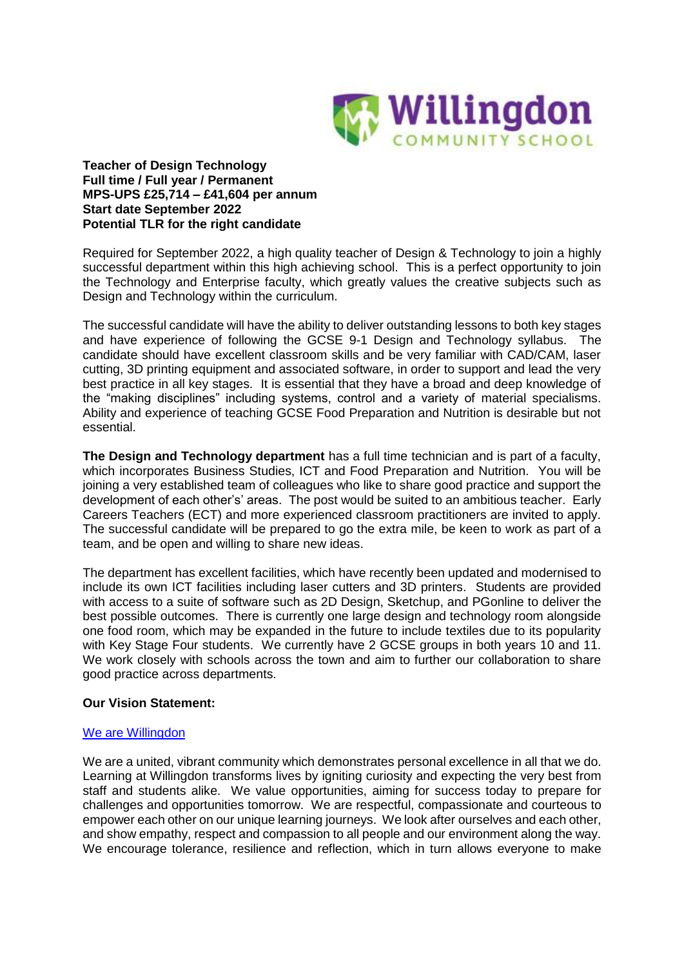

**Teacher of Design Technology Full time / Full year / Permanent MPS-UPS £25,714 – £41,604 per annum Start date September 2022 Potential TLR for the right candidate**

Required for September 2022, a high quality teacher of Design & Technology to join a highly successful department within this high achieving school. This is a perfect opportunity to join the Technology and Enterprise faculty, which greatly values the creative subjects such as Design and Technology within the curriculum.

The successful candidate will have the ability to deliver outstanding lessons to both key stages and have experience of following the GCSE 9-1 Design and Technology syllabus. The candidate should have excellent classroom skills and be very familiar with CAD/CAM, laser cutting, 3D printing equipment and associated software, in order to support and lead the very best practice in all key stages. It is essential that they have a broad and deep knowledge of the "making disciplines" including systems, control and a variety of material specialisms. Ability and experience of teaching GCSE Food Preparation and Nutrition is desirable but not essential.

**The Design and Technology department** has a full time technician and is part of a faculty, which incorporates Business Studies, ICT and Food Preparation and Nutrition. You will be joining a very established team of colleagues who like to share good practice and support the development of each other's' areas. The post would be suited to an ambitious teacher. Early Careers Teachers (ECT) and more experienced classroom practitioners are invited to apply. The successful candidate will be prepared to go the extra mile, be keen to work as part of a team, and be open and willing to share new ideas.

The department has excellent facilities, which have recently been updated and modernised to include its own ICT facilities including laser cutters and 3D printers. Students are provided with access to a suite of software such as 2D Design, Sketchup, and PGonline to deliver the best possible outcomes. There is currently one large design and technology room alongside one food room, which may be expanded in the future to include textiles due to its popularity with Key Stage Four students. We currently have 2 GCSE groups in both years 10 and 11. We work closely with schools across the town and aim to further our collaboration to share good practice across departments.

# **Our Vision Statement:**

#### We are [Willingdon](https://www.youtube.com/watch?v=hh3vC1yX3CI)

We are a united, vibrant community which demonstrates personal excellence in all that we do. Learning at Willingdon transforms lives by igniting curiosity and expecting the very best from staff and students alike. We value opportunities, aiming for success today to prepare for challenges and opportunities tomorrow. We are respectful, compassionate and courteous to empower each other on our unique learning journeys. We look after ourselves and each other, and show empathy, respect and compassion to all people and our environment along the way. We encourage tolerance, resilience and reflection, which in turn allows everyone to make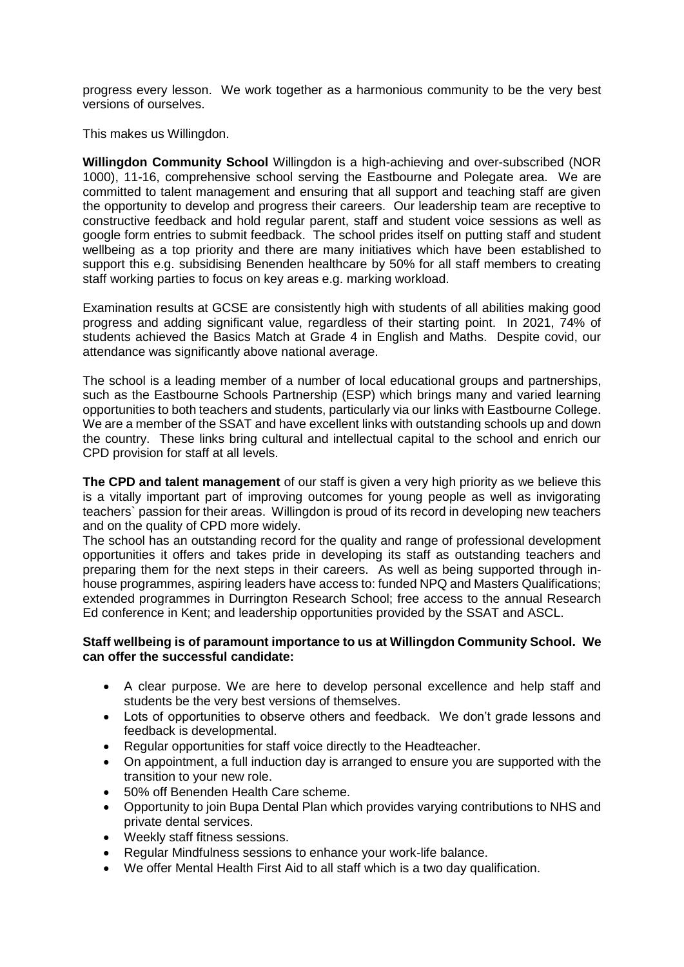progress every lesson. We work together as a harmonious community to be the very best versions of ourselves.

This makes us Willingdon.

**Willingdon Community School** Willingdon is a high-achieving and over-subscribed (NOR 1000), 11-16, comprehensive school serving the Eastbourne and Polegate area. We are committed to talent management and ensuring that all support and teaching staff are given the opportunity to develop and progress their careers. Our leadership team are receptive to constructive feedback and hold regular parent, staff and student voice sessions as well as google form entries to submit feedback. The school prides itself on putting staff and student wellbeing as a top priority and there are many initiatives which have been established to support this e.g. subsidising Benenden healthcare by 50% for all staff members to creating staff working parties to focus on key areas e.g. marking workload.

Examination results at GCSE are consistently high with students of all abilities making good progress and adding significant value, regardless of their starting point. In 2021, 74% of students achieved the Basics Match at Grade 4 in English and Maths. Despite covid, our attendance was significantly above national average.

The school is a leading member of a number of local educational groups and partnerships, such as the Eastbourne Schools Partnership (ESP) which brings many and varied learning opportunities to both teachers and students, particularly via our links with Eastbourne College. We are a member of the SSAT and have excellent links with outstanding schools up and down the country. These links bring cultural and intellectual capital to the school and enrich our CPD provision for staff at all levels.

**The CPD and talent management** of our staff is given a very high priority as we believe this is a vitally important part of improving outcomes for young people as well as invigorating teachers` passion for their areas. Willingdon is proud of its record in developing new teachers and on the quality of CPD more widely.

The school has an outstanding record for the quality and range of professional development opportunities it offers and takes pride in developing its staff as outstanding teachers and preparing them for the next steps in their careers. As well as being supported through inhouse programmes, aspiring leaders have access to: funded NPQ and Masters Qualifications; extended programmes in Durrington Research School; free access to the annual Research Ed conference in Kent; and leadership opportunities provided by the SSAT and ASCL.

### **Staff wellbeing is of paramount importance to us at Willingdon Community School. We can offer the successful candidate:**

- A clear purpose. We are here to develop personal excellence and help staff and students be the very best versions of themselves.
- Lots of opportunities to observe others and feedback. We don't grade lessons and feedback is developmental.
- Regular opportunities for staff voice directly to the Headteacher.
- On appointment, a full induction day is arranged to ensure you are supported with the transition to your new role.
- 50% off Benenden Health Care scheme.
- Opportunity to join Bupa Dental Plan which provides varying contributions to NHS and private dental services.
- Weekly staff fitness sessions.
- Regular Mindfulness sessions to enhance your work-life balance.
- We offer Mental Health First Aid to all staff which is a two day qualification.